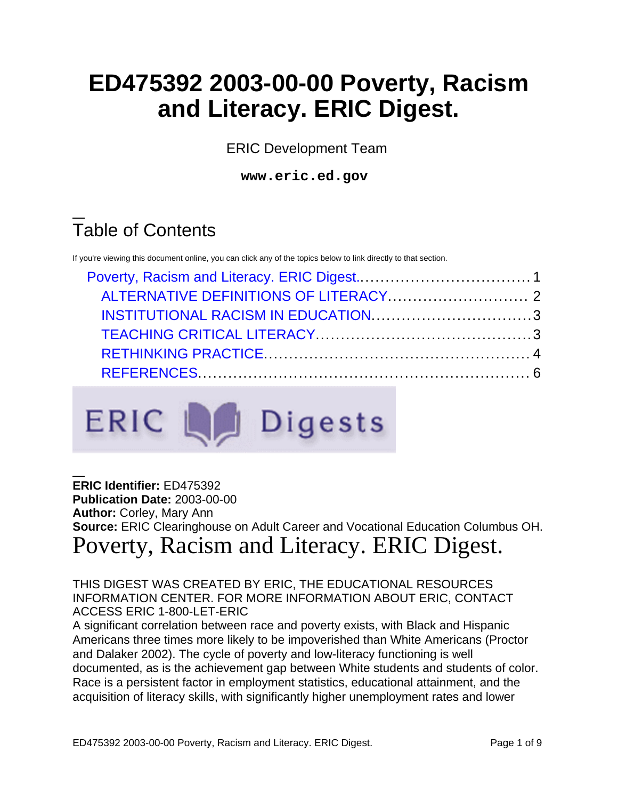# **ED475392 2003-00-00 Poverty, Racism and Literacy. ERIC Digest.**

ERIC Development Team

**www.eric.ed.gov**

## Table of Contents

If you're viewing this document online, you can click any of the topics below to link directly to that section.



#### **ERIC Identifier:** ED475392 **Publication Date:** 2003-00-00 **Author:** Corley, Mary Ann **Source:** ERIC Clearinghouse on Adult Career and Vocational Education Columbus OH. Poverty, Racism and Literacy. ERIC Digest.

<span id="page-0-0"></span>THIS DIGEST WAS CREATED BY ERIC, THE EDUCATIONAL RESOURCES INFORMATION CENTER. FOR MORE INFORMATION ABOUT ERIC, CONTACT ACCESS ERIC 1-800-LET-ERIC

A significant correlation between race and poverty exists, with Black and Hispanic Americans three times more likely to be impoverished than White Americans (Proctor and Dalaker 2002). The cycle of poverty and low-literacy functioning is well documented, as is the achievement gap between White students and students of color. Race is a persistent factor in employment statistics, educational attainment, and the acquisition of literacy skills, with significantly higher unemployment rates and lower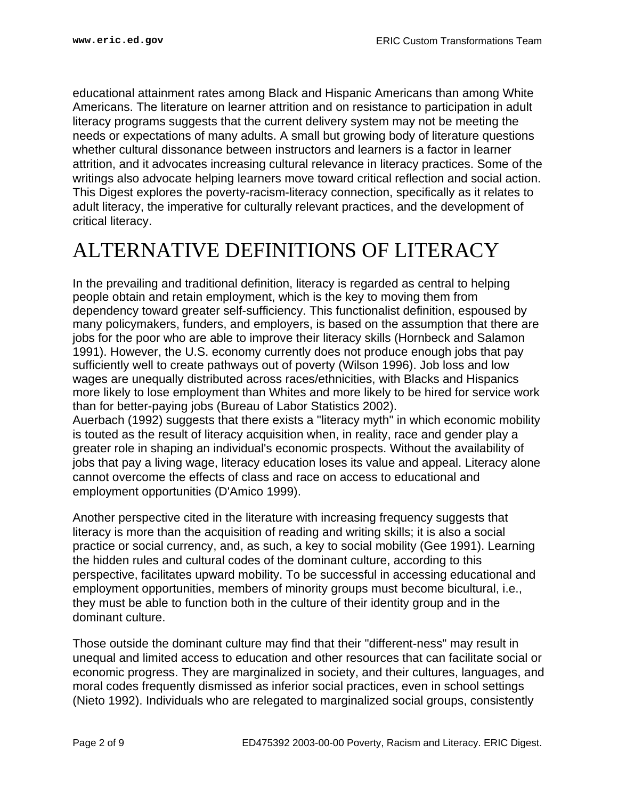educational attainment rates among Black and Hispanic Americans than among White Americans. The literature on learner attrition and on resistance to participation in adult literacy programs suggests that the current delivery system may not be meeting the needs or expectations of many adults. A small but growing body of literature questions whether cultural dissonance between instructors and learners is a factor in learner attrition, and it advocates increasing cultural relevance in literacy practices. Some of the writings also advocate helping learners move toward critical reflection and social action. This Digest explores the poverty-racism-literacy connection, specifically as it relates to adult literacy, the imperative for culturally relevant practices, and the development of critical literacy.

## <span id="page-1-0"></span>ALTERNATIVE DEFINITIONS OF LITERACY

In the prevailing and traditional definition, literacy is regarded as central to helping people obtain and retain employment, which is the key to moving them from dependency toward greater self-sufficiency. This functionalist definition, espoused by many policymakers, funders, and employers, is based on the assumption that there are jobs for the poor who are able to improve their literacy skills (Hornbeck and Salamon 1991). However, the U.S. economy currently does not produce enough jobs that pay sufficiently well to create pathways out of poverty (Wilson 1996). Job loss and low wages are unequally distributed across races/ethnicities, with Blacks and Hispanics more likely to lose employment than Whites and more likely to be hired for service work than for better-paying jobs (Bureau of Labor Statistics 2002).

Auerbach (1992) suggests that there exists a "literacy myth" in which economic mobility is touted as the result of literacy acquisition when, in reality, race and gender play a greater role in shaping an individual's economic prospects. Without the availability of jobs that pay a living wage, literacy education loses its value and appeal. Literacy alone cannot overcome the effects of class and race on access to educational and employment opportunities (D'Amico 1999).

Another perspective cited in the literature with increasing frequency suggests that literacy is more than the acquisition of reading and writing skills; it is also a social practice or social currency, and, as such, a key to social mobility (Gee 1991). Learning the hidden rules and cultural codes of the dominant culture, according to this perspective, facilitates upward mobility. To be successful in accessing educational and employment opportunities, members of minority groups must become bicultural, i.e., they must be able to function both in the culture of their identity group and in the dominant culture.

Those outside the dominant culture may find that their "different-ness" may result in unequal and limited access to education and other resources that can facilitate social or economic progress. They are marginalized in society, and their cultures, languages, and moral codes frequently dismissed as inferior social practices, even in school settings (Nieto 1992). Individuals who are relegated to marginalized social groups, consistently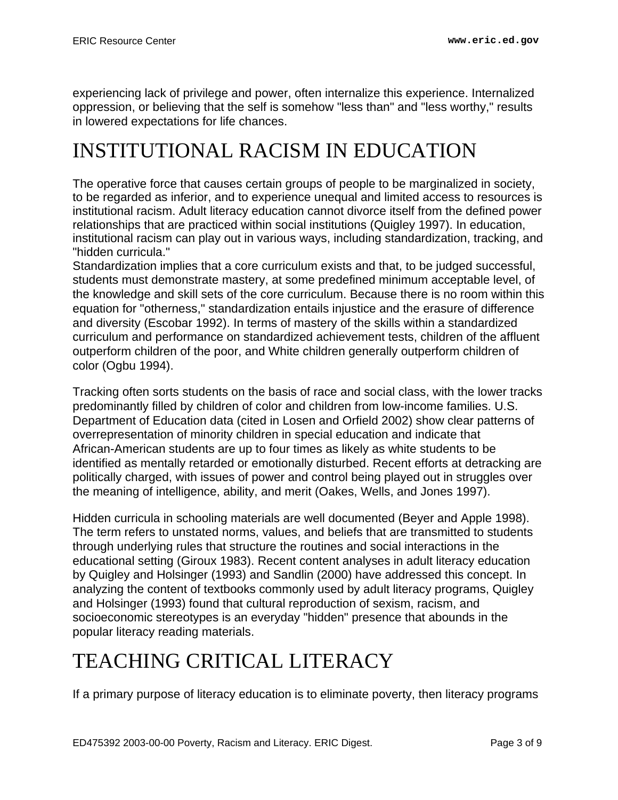experiencing lack of privilege and power, often internalize this experience. Internalized oppression, or believing that the self is somehow "less than" and "less worthy," results in lowered expectations for life chances.

## <span id="page-2-0"></span>INSTITUTIONAL RACISM IN EDUCATION

The operative force that causes certain groups of people to be marginalized in society, to be regarded as inferior, and to experience unequal and limited access to resources is institutional racism. Adult literacy education cannot divorce itself from the defined power relationships that are practiced within social institutions (Quigley 1997). In education, institutional racism can play out in various ways, including standardization, tracking, and "hidden curricula."

Standardization implies that a core curriculum exists and that, to be judged successful, students must demonstrate mastery, at some predefined minimum acceptable level, of the knowledge and skill sets of the core curriculum. Because there is no room within this equation for "otherness," standardization entails injustice and the erasure of difference and diversity (Escobar 1992). In terms of mastery of the skills within a standardized curriculum and performance on standardized achievement tests, children of the affluent outperform children of the poor, and White children generally outperform children of color (Ogbu 1994).

Tracking often sorts students on the basis of race and social class, with the lower tracks predominantly filled by children of color and children from low-income families. U.S. Department of Education data (cited in Losen and Orfield 2002) show clear patterns of overrepresentation of minority children in special education and indicate that African-American students are up to four times as likely as white students to be identified as mentally retarded or emotionally disturbed. Recent efforts at detracking are politically charged, with issues of power and control being played out in struggles over the meaning of intelligence, ability, and merit (Oakes, Wells, and Jones 1997).

Hidden curricula in schooling materials are well documented (Beyer and Apple 1998). The term refers to unstated norms, values, and beliefs that are transmitted to students through underlying rules that structure the routines and social interactions in the educational setting (Giroux 1983). Recent content analyses in adult literacy education by Quigley and Holsinger (1993) and Sandlin (2000) have addressed this concept. In analyzing the content of textbooks commonly used by adult literacy programs, Quigley and Holsinger (1993) found that cultural reproduction of sexism, racism, and socioeconomic stereotypes is an everyday "hidden" presence that abounds in the popular literacy reading materials.

# <span id="page-2-1"></span>TEACHING CRITICAL LITERACY

If a primary purpose of literacy education is to eliminate poverty, then literacy programs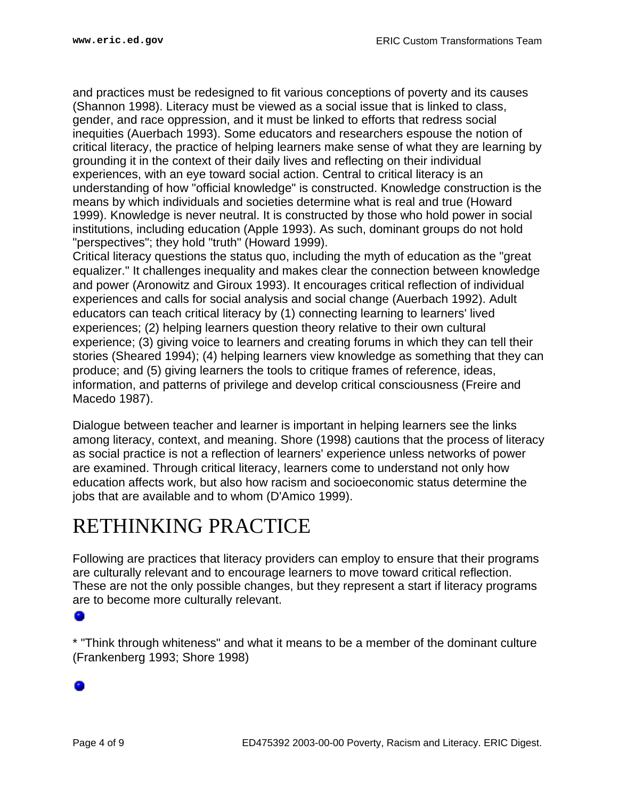and practices must be redesigned to fit various conceptions of poverty and its causes (Shannon 1998). Literacy must be viewed as a social issue that is linked to class, gender, and race oppression, and it must be linked to efforts that redress social inequities (Auerbach 1993). Some educators and researchers espouse the notion of critical literacy, the practice of helping learners make sense of what they are learning by grounding it in the context of their daily lives and reflecting on their individual experiences, with an eye toward social action. Central to critical literacy is an understanding of how "official knowledge" is constructed. Knowledge construction is the means by which individuals and societies determine what is real and true (Howard 1999). Knowledge is never neutral. It is constructed by those who hold power in social institutions, including education (Apple 1993). As such, dominant groups do not hold "perspectives"; they hold "truth" (Howard 1999).

Critical literacy questions the status quo, including the myth of education as the "great equalizer." It challenges inequality and makes clear the connection between knowledge and power (Aronowitz and Giroux 1993). It encourages critical reflection of individual experiences and calls for social analysis and social change (Auerbach 1992). Adult educators can teach critical literacy by (1) connecting learning to learners' lived experiences; (2) helping learners question theory relative to their own cultural experience; (3) giving voice to learners and creating forums in which they can tell their stories (Sheared 1994); (4) helping learners view knowledge as something that they can produce; and (5) giving learners the tools to critique frames of reference, ideas, information, and patterns of privilege and develop critical consciousness (Freire and Macedo 1987).

Dialogue between teacher and learner is important in helping learners see the links among literacy, context, and meaning. Shore (1998) cautions that the process of literacy as social practice is not a reflection of learners' experience unless networks of power are examined. Through critical literacy, learners come to understand not only how education affects work, but also how racism and socioeconomic status determine the jobs that are available and to whom (D'Amico 1999).

## <span id="page-3-0"></span>RETHINKING PRACTICE

Following are practices that literacy providers can employ to ensure that their programs are culturally relevant and to encourage learners to move toward critical reflection. These are not the only possible changes, but they represent a start if literacy programs are to become more culturally relevant.

#### ۰

\* "Think through whiteness" and what it means to be a member of the dominant culture (Frankenberg 1993; Shore 1998)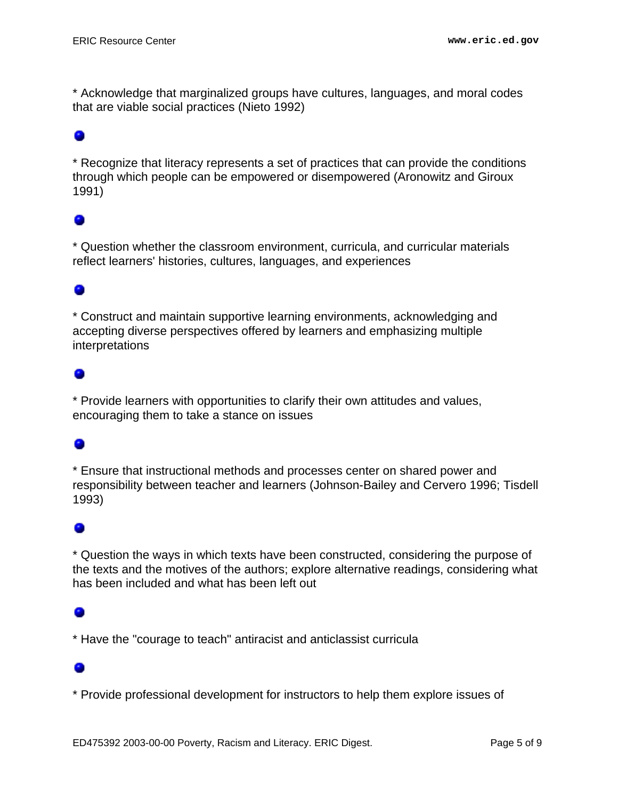\* Acknowledge that marginalized groups have cultures, languages, and moral codes that are viable social practices (Nieto 1992)

### o

\* Recognize that literacy represents a set of practices that can provide the conditions through which people can be empowered or disempowered (Aronowitz and Giroux 1991)

#### 0

\* Question whether the classroom environment, curricula, and curricular materials reflect learners' histories, cultures, languages, and experiences

### ۰

\* Construct and maintain supportive learning environments, acknowledging and accepting diverse perspectives offered by learners and emphasizing multiple interpretations

### ۰

\* Provide learners with opportunities to clarify their own attitudes and values, encouraging them to take a stance on issues

#### ۰

\* Ensure that instructional methods and processes center on shared power and responsibility between teacher and learners (Johnson-Bailey and Cervero 1996; Tisdell 1993)

#### o

\* Question the ways in which texts have been constructed, considering the purpose of the texts and the motives of the authors; explore alternative readings, considering what has been included and what has been left out

\* Have the "courage to teach" antiracist and anticlassist curricula

\* Provide professional development for instructors to help them explore issues of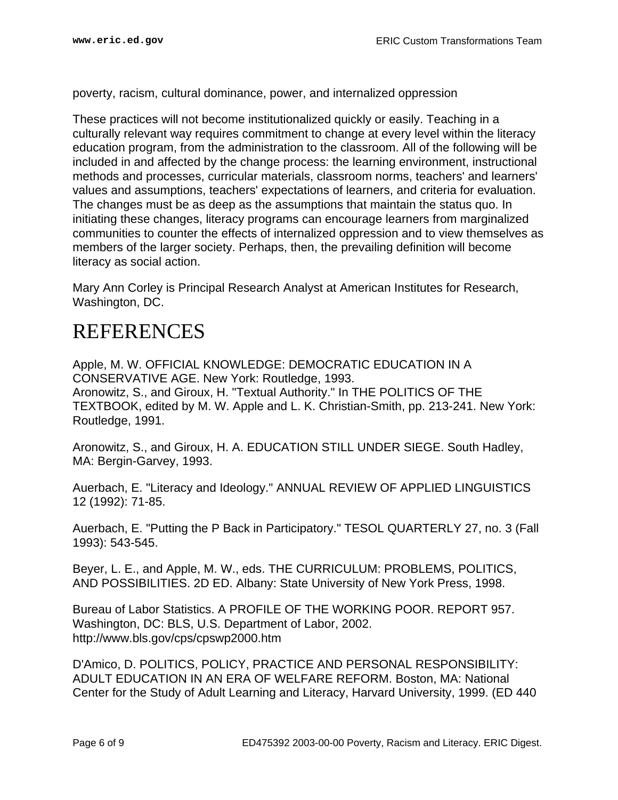poverty, racism, cultural dominance, power, and internalized oppression

These practices will not become institutionalized quickly or easily. Teaching in a culturally relevant way requires commitment to change at every level within the literacy education program, from the administration to the classroom. All of the following will be included in and affected by the change process: the learning environment, instructional methods and processes, curricular materials, classroom norms, teachers' and learners' values and assumptions, teachers' expectations of learners, and criteria for evaluation. The changes must be as deep as the assumptions that maintain the status quo. In initiating these changes, literacy programs can encourage learners from marginalized communities to counter the effects of internalized oppression and to view themselves as members of the larger society. Perhaps, then, the prevailing definition will become literacy as social action.

Mary Ann Corley is Principal Research Analyst at American Institutes for Research, Washington, DC.

## <span id="page-5-0"></span>REFERENCES

Apple, M. W. OFFICIAL KNOWLEDGE: DEMOCRATIC EDUCATION IN A CONSERVATIVE AGE. New York: Routledge, 1993. Aronowitz, S., and Giroux, H. "Textual Authority." In THE POLITICS OF THE TEXTBOOK, edited by M. W. Apple and L. K. Christian-Smith, pp. 213-241. New York: Routledge, 1991.

Aronowitz, S., and Giroux, H. A. EDUCATION STILL UNDER SIEGE. South Hadley, MA: Bergin-Garvey, 1993.

Auerbach, E. "Literacy and Ideology." ANNUAL REVIEW OF APPLIED LINGUISTICS 12 (1992): 71-85.

Auerbach, E. "Putting the P Back in Participatory." TESOL QUARTERLY 27, no. 3 (Fall 1993): 543-545.

Beyer, L. E., and Apple, M. W., eds. THE CURRICULUM: PROBLEMS, POLITICS, AND POSSIBILITIES. 2D ED. Albany: State University of New York Press, 1998.

Bureau of Labor Statistics. A PROFILE OF THE WORKING POOR. REPORT 957. Washington, DC: BLS, U.S. Department of Labor, 2002. http://www.bls.gov/cps/cpswp2000.htm

D'Amico, D. POLITICS, POLICY, PRACTICE AND PERSONAL RESPONSIBILITY: ADULT EDUCATION IN AN ERA OF WELFARE REFORM. Boston, MA: National Center for the Study of Adult Learning and Literacy, Harvard University, 1999. (ED 440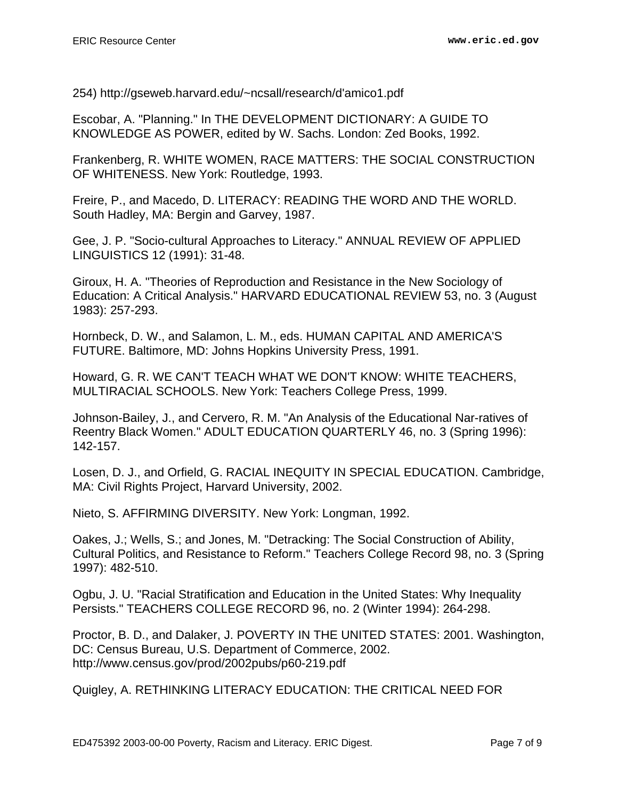254) http://gseweb.harvard.edu/~ncsall/research/d'amico1.pdf

Escobar, A. "Planning." In THE DEVELOPMENT DICTIONARY: A GUIDE TO KNOWLEDGE AS POWER, edited by W. Sachs. London: Zed Books, 1992.

Frankenberg, R. WHITE WOMEN, RACE MATTERS: THE SOCIAL CONSTRUCTION OF WHITENESS. New York: Routledge, 1993.

Freire, P., and Macedo, D. LITERACY: READING THE WORD AND THE WORLD. South Hadley, MA: Bergin and Garvey, 1987.

Gee, J. P. "Socio-cultural Approaches to Literacy." ANNUAL REVIEW OF APPLIED LINGUISTICS 12 (1991): 31-48.

Giroux, H. A. "Theories of Reproduction and Resistance in the New Sociology of Education: A Critical Analysis." HARVARD EDUCATIONAL REVIEW 53, no. 3 (August 1983): 257-293.

Hornbeck, D. W., and Salamon, L. M., eds. HUMAN CAPITAL AND AMERICA'S FUTURE. Baltimore, MD: Johns Hopkins University Press, 1991.

Howard, G. R. WE CAN'T TEACH WHAT WE DON'T KNOW: WHITE TEACHERS, MULTIRACIAL SCHOOLS. New York: Teachers College Press, 1999.

Johnson-Bailey, J., and Cervero, R. M. "An Analysis of the Educational Nar-ratives of Reentry Black Women." ADULT EDUCATION QUARTERLY 46, no. 3 (Spring 1996): 142-157.

Losen, D. J., and Orfield, G. RACIAL INEQUITY IN SPECIAL EDUCATION. Cambridge, MA: Civil Rights Project, Harvard University, 2002.

Nieto, S. AFFIRMING DIVERSITY. New York: Longman, 1992.

Oakes, J.; Wells, S.; and Jones, M. "Detracking: The Social Construction of Ability, Cultural Politics, and Resistance to Reform." Teachers College Record 98, no. 3 (Spring 1997): 482-510.

Ogbu, J. U. "Racial Stratification and Education in the United States: Why Inequality Persists." TEACHERS COLLEGE RECORD 96, no. 2 (Winter 1994): 264-298.

Proctor, B. D., and Dalaker, J. POVERTY IN THE UNITED STATES: 2001. Washington, DC: Census Bureau, U.S. Department of Commerce, 2002. http://www.census.gov/prod/2002pubs/p60-219.pdf

Quigley, A. RETHINKING LITERACY EDUCATION: THE CRITICAL NEED FOR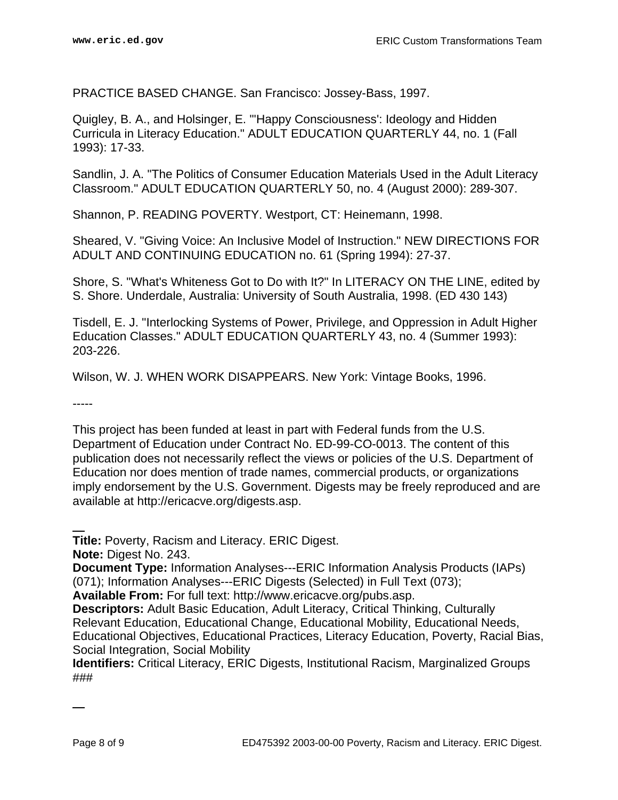PRACTICE BASED CHANGE. San Francisco: Jossey-Bass, 1997.

Quigley, B. A., and Holsinger, E. "'Happy Consciousness': Ideology and Hidden Curricula in Literacy Education." ADULT EDUCATION QUARTERLY 44, no. 1 (Fall 1993): 17-33.

Sandlin, J. A. "The Politics of Consumer Education Materials Used in the Adult Literacy Classroom." ADULT EDUCATION QUARTERLY 50, no. 4 (August 2000): 289-307.

Shannon, P. READING POVERTY. Westport, CT: Heinemann, 1998.

Sheared, V. "Giving Voice: An Inclusive Model of Instruction." NEW DIRECTIONS FOR ADULT AND CONTINUING EDUCATION no. 61 (Spring 1994): 27-37.

Shore, S. "What's Whiteness Got to Do with It?" In LITERACY ON THE LINE, edited by S. Shore. Underdale, Australia: University of South Australia, 1998. (ED 430 143)

Tisdell, E. J. "Interlocking Systems of Power, Privilege, and Oppression in Adult Higher Education Classes." ADULT EDUCATION QUARTERLY 43, no. 4 (Summer 1993): 203-226.

Wilson, W. J. WHEN WORK DISAPPEARS. New York: Vintage Books, 1996.

-----

This project has been funded at least in part with Federal funds from the U.S. Department of Education under Contract No. ED-99-CO-0013. The content of this publication does not necessarily reflect the views or policies of the U.S. Department of Education nor does mention of trade names, commercial products, or organizations imply endorsement by the U.S. Government. Digests may be freely reproduced and are available at http://ericacve.org/digests.asp.

**Title:** Poverty, Racism and Literacy. ERIC Digest.

**Note:** Digest No. 243.

**Document Type:** Information Analyses---ERIC Information Analysis Products (IAPs) (071); Information Analyses---ERIC Digests (Selected) in Full Text (073);

**Available From:** For full text: http://www.ericacve.org/pubs.asp.

**Descriptors:** Adult Basic Education, Adult Literacy, Critical Thinking, Culturally Relevant Education, Educational Change, Educational Mobility, Educational Needs, Educational Objectives, Educational Practices, Literacy Education, Poverty, Racial Bias, Social Integration, Social Mobility

**Identifiers:** Critical Literacy, ERIC Digests, Institutional Racism, Marginalized Groups ###